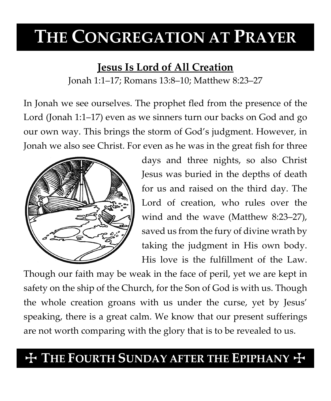# **THE CONGREGATION AT PRAYER**

### **Jesus Is Lord of All Creation**

Jonah 1:1–17; Romans 13:8–10; Matthew 8:23–27

In Jonah we see ourselves. The prophet fled from the presence of the Lord (Jonah 1:1–17) even as we sinners turn our backs on God and go our own way. This brings the storm of God's judgment. However, in Jonah we also see Christ. For even as he was in the great fish for three



days and three nights, so also Christ Jesus was buried in the depths of death for us and raised on the third day. The Lord of creation, who rules over the wind and the wave (Matthew 8:23–27), saved us from the fury of divine wrath by taking the judgment in His own body. His love is the fulfillment of the Law.

Though our faith may be weak in the face of peril, yet we are kept in safety on the ship of the Church, for the Son of God is with us. Though the whole creation groans with us under the curse, yet by Jesus' speaking, there is a great calm. We know that our present sufferings are not worth comparing with the glory that is to be revealed to us.

## $+$  THE FOURTH SUNDAY AFTER THE EPIPHANY  $+$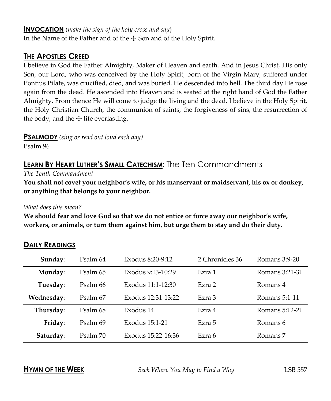#### **INVOCATION** (*make the sign of the holy cross and say*)

In the Name of the Father and of the  $\pm$  Son and of the Holy Spirit.

#### **THE APOSTLES CREED**

I believe in God the Father Almighty, Maker of Heaven and earth. And in Jesus Christ, His only Son, our Lord, who was conceived by the Holy Spirit, born of the Virgin Mary, suffered under Pontius Pilate, was crucified, died, and was buried. He descended into hell. The third day He rose again from the dead. He ascended into Heaven and is seated at the right hand of God the Father Almighty. From thence He will come to judge the living and the dead. I believe in the Holy Spirit, the Holy Christian Church, the communion of saints, the forgiveness of sins, the resurrection of the body, and the  $\pm$  life everlasting.

**PSALMODY** *(sing or read out loud each day)*

Psalm 96

### **LEARN BY HEART LUTHER'S SMALL CATECHISM:** The Ten Commandments

*The Tenth Commandment*

**You shall not covet your neighbor's wife, or his manservant or maidservant, his ox or donkey, or anything that belongs to your neighbor.**

#### *What does this mean?*

**We should fear and love God so that we do not entice or force away our neighbor's wife, workers, or animals, or turn them against him, but urge them to stay and do their duty.**

| Sunday:    | Psalm 64 | Exodus 8:20-9:12         | 2 Chronicles 36 | Romans 3:9-20  |
|------------|----------|--------------------------|-----------------|----------------|
| Monday:    | Psalm 65 | Exodus 9:13-10:29        | Ezra 1          | Romans 3:21-31 |
| Tuesday:   | Psalm 66 | Exodus 11:1-12:30        | Ezra 2          | Romans 4       |
| Wednesday: | Psalm 67 | Exodus 12:31-13:22       | Ezra 3          | Romans 5:1-11  |
| Thursday:  | Psalm 68 | Exodus 14                | Ezra 4          | Romans 5:12-21 |
| Friday:    | Psalm 69 | Exodus 15:1-21<br>Ezra 5 |                 | Romans 6       |
| Saturday:  | Psalm 70 | Exodus 15:22-16:36       | Ezra 6          | Romans 7       |

#### **DAILY READINGS**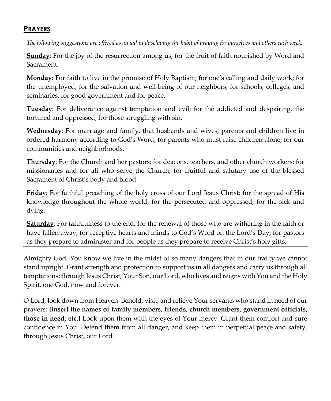#### **PRAYERS**

*The following suggestions are offered as an aid in developing the habit of praying for ourselves and others each week:*

**Sunday**: For the joy of the resurrection among us; for the fruit of faith nourished by Word and Sacrament.

**Monday**: For faith to live in the promise of Holy Baptism; for one's calling and daily work; for the unemployed; for the salvation and well-being of our neighbors; for schools, colleges, and seminaries; for good government and for peace.

**Tuesday**: For deliverance against temptation and evil; for the addicted and despairing, the tortured and oppressed; for those struggling with sin.

**Wednesday**: For marriage and family, that husbands and wives, parents and children live in ordered harmony according to God's Word; for parents who must raise children alone; for our communities and neighborhoods.

**Thursday**: For the Church and her pastors; for deacons, teachers, and other church workers; for missionaries and for all who serve the Church; for fruitful and salutary use of the blessed Sacrament of Christ's body and blood.

**Friday**: For faithful preaching of the holy cross of our Lord Jesus Christ; for the spread of His knowledge throughout the whole world; for the persecuted and oppressed; for the sick and dying.

**Saturday**: For faithfulness to the end; for the renewal of those who are withering in the faith or have fallen away; for receptive hearts and minds to God's Word on the Lord's Day; for pastors as they prepare to administer and for people as they prepare to receive Christ's holy gifts.

Almighty God, You know we live in the midst of so many dangers that in our frailty we cannot stand upright. Grant strength and protection to support us in all dangers and carry us through all temptations; through Jesus Christ, Your Son, our Lord, who lives and reigns with You and the Holy Spirit, one God, now and forever.

O Lord, look down from Heaven. Behold, visit, and relieve Your servants who stand in need of our prayers: **[insert the names of family members, friends, church members, government officials, those in need, etc.]** Look upon them with the eyes of Your mercy. Grant them comfort and sure confidence in You. Defend them from all danger, and keep them in perpetual peace and safety, through Jesus Christ, our Lord.